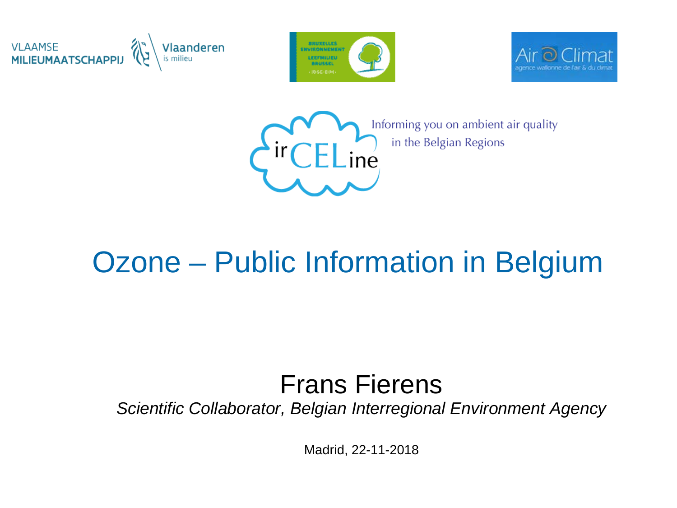





Informing you on ambient air quality in the Belgian Regions

#### Ozone – Public Information in Belgium

#### Frans Fierens

*Scientific Collaborator, Belgian Interregional Environment Agency*

Madrid, 22-11-2018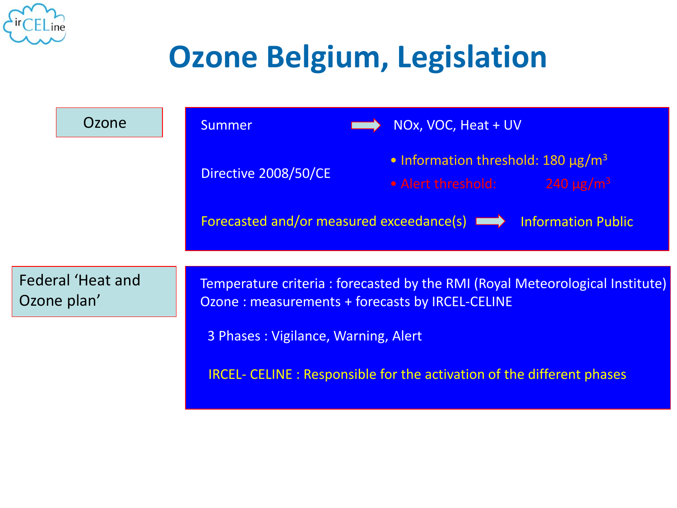

# **Ozone Belgium, Legislation**

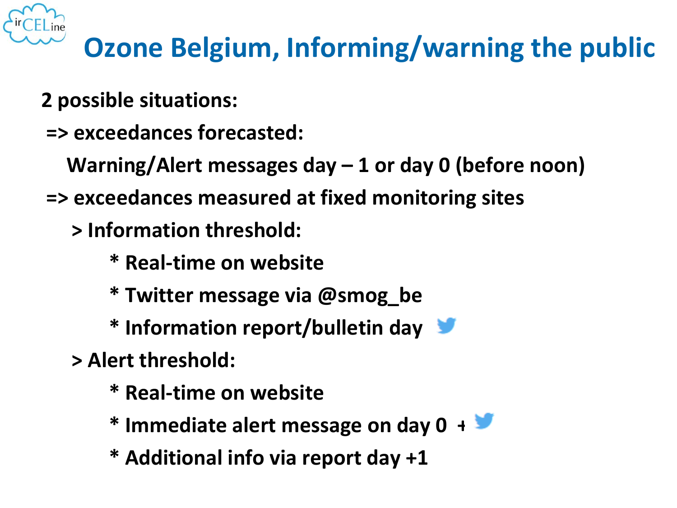

#### **Ozone Belgium, Informing/warning the public**

- **2 possible situations:**
- **=> exceedances forecasted:**
	- **Warning/Alert messages day – 1 or day 0 (before noon)**
- **=> exceedances measured at fixed monitoring sites** 
	- **> Information threshold:** 
		- **\* Real-time on website**
		- **\* Twitter message via @smog\_be**
		- **\* Information report/bulletin day +1**
	- **> Alert threshold:** 
		- **\* Real-time on website**
		- **\* Immediate alert message on day 0 +**
		- **\* Additional info via report day +1**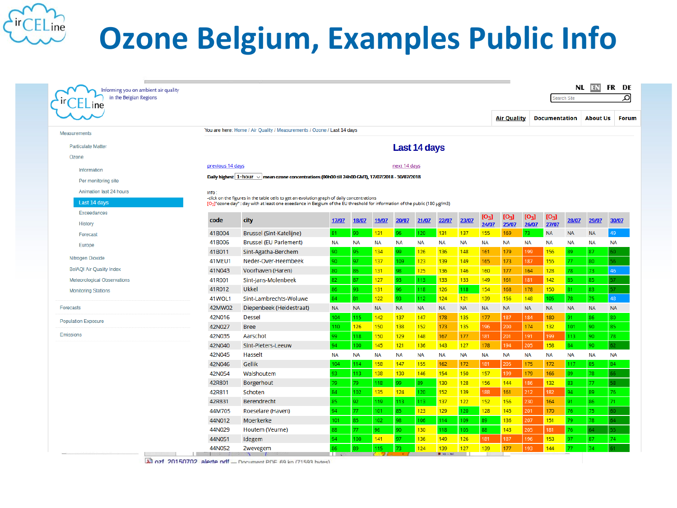

## **Ozone Belgium, Examples Public Info**

| in the Belgian Regions<br>$\mathsf{\mathsf{L}\mathsf{L}}$ ine |                                                                        |                                                                                                                                                                                                                          |           |           |                  |              |              |           |           |           |                    |           |                      | Search Site |                 |  |  |
|---------------------------------------------------------------|------------------------------------------------------------------------|--------------------------------------------------------------------------------------------------------------------------------------------------------------------------------------------------------------------------|-----------|-----------|------------------|--------------|--------------|-----------|-----------|-----------|--------------------|-----------|----------------------|-------------|-----------------|--|--|
|                                                               |                                                                        |                                                                                                                                                                                                                          |           |           |                  |              |              |           |           |           | <b>Air Quality</b> |           | <b>Documentation</b> |             | <b>About Us</b> |  |  |
| Measurements                                                  | You are here: Home / Air Quality / Measurements / Ozone / Last 14 days |                                                                                                                                                                                                                          |           |           |                  |              |              |           |           |           |                    |           |                      |             |                 |  |  |
| <b>Particulate Matter</b>                                     |                                                                        |                                                                                                                                                                                                                          |           |           |                  |              | Last 14 days |           |           |           |                    |           |                      |             |                 |  |  |
| Ozone                                                         |                                                                        |                                                                                                                                                                                                                          |           |           |                  |              |              |           |           |           |                    |           |                      |             |                 |  |  |
|                                                               | previous 14 days                                                       |                                                                                                                                                                                                                          |           |           |                  | next 14 days |              |           |           |           |                    |           |                      |             |                 |  |  |
| Information                                                   |                                                                        | Daily highest   1-hour v   mean ozone concentrations (00h00 till 24h00 GMT), 17/07/2018 - 30/07/2018                                                                                                                     |           |           |                  |              |              |           |           |           |                    |           |                      |             |                 |  |  |
| Per monitoring site                                           |                                                                        |                                                                                                                                                                                                                          |           |           |                  |              |              |           |           |           |                    |           |                      |             |                 |  |  |
| <b>Animation last 24 hours</b>                                | info:                                                                  |                                                                                                                                                                                                                          |           |           |                  |              |              |           |           |           |                    |           |                      |             |                 |  |  |
| Last 14 days                                                  |                                                                        | -click on the figures in the table cells to get an evolution graph of daily concentrations<br>[O3]"ozone day" : day with at least one exeedance in Belgium of the EU threshold for information of the public (180 µg/m3) |           |           |                  |              |              |           |           |           |                    |           |                      |             |                 |  |  |
| Exceedances                                                   |                                                                        |                                                                                                                                                                                                                          |           |           |                  |              |              |           |           | $[O_3]$   | $[O_3]$            | $[O_3]$   | $[O_3]$              |             |                 |  |  |
| History                                                       | code                                                                   | city                                                                                                                                                                                                                     | 17/07     | 18/07     | 19/07            | 20/07        | 21/07        | 22/07     | 23/07     | 24/07     | 25/07              | 26/07     | 27/07                | 28/07       | 29/07           |  |  |
| Forecast                                                      | 41B004                                                                 | Brussel (Sint-Katelijne)                                                                                                                                                                                                 | 81        | 90        | 131              | 96           | 120          | 131       | 137       | 155       | 169                | 73        | <b>NA</b>            | NA          | <b>NA</b>       |  |  |
| Europe                                                        | 41B006                                                                 | <b>Brussel (EU Parlement)</b>                                                                                                                                                                                            | <b>NA</b> | <b>NA</b> | <b>NA</b>        | <b>NA</b>    | <b>NA</b>    | <b>NA</b> | <b>NA</b> | <b>NA</b> | <b>NA</b>          | <b>NA</b> | <b>NA</b>            | <b>NA</b>   | <b>NA</b>       |  |  |
|                                                               | 41B011                                                                 | Sint-Agatha-Berchem                                                                                                                                                                                                      | 90        | 95        | 134              | 99           | 126          | 136       | 148       | 161       | 179                | 199       | 156                  | 89          | 87              |  |  |
| Nitrogen Dioxide                                              | 41MEU1                                                                 | Neder-Over-Heembeek                                                                                                                                                                                                      | 90        | 97        | 137              | 109          | 123          | 139       | 149       | 165       | 173                | 187       | 155                  | 77          | 80              |  |  |
| <b>BelAQI Air Quality Index</b>                               | 41N043                                                                 | Voorhaven (Haren)                                                                                                                                                                                                        | 80        | 86        | 131              | 98           | 125          | 136       | 146       | 160       | 177                | 164       | 128                  | 78          | 73              |  |  |
| <b>Meteorological Observations</b>                            | 41R001                                                                 | Sint-Jans-Molenbeek                                                                                                                                                                                                      | 82        | 87        | 127              | 93.          | 113          | 133       | 133       | 149       | 161                | 181       | 142                  | 85          | 85              |  |  |
| <b>Monitoring Stations</b>                                    | 41R012                                                                 | <b>Ukkel</b>                                                                                                                                                                                                             | 86        | 93        | 131              | 96.          | 118          | 126       | 118       | 154       | 168                | 178       | 150                  | 81          | 83              |  |  |
|                                                               | 41WOL1                                                                 | Sint-Lambrechts-Woluwe                                                                                                                                                                                                   | 84        | 81        | 122              | 93           | 112          | 124       | 121       | 139       | 156                | 148       | 105                  | 78          | 75              |  |  |
| Forecasts                                                     | 42MW02                                                                 | Diepenbeek (Heidestraat)                                                                                                                                                                                                 | <b>NA</b> | <b>NA</b> | <b>NA</b>        | <b>NA</b>    | <b>NA</b>    | <b>NA</b> | <b>NA</b> | <b>NA</b> | <b>NA</b>          | <b>NA</b> | <b>NA</b>            | <b>NA</b>   | <b>NA</b>       |  |  |
| <b>Population Exposure</b>                                    | 42N016                                                                 | <b>Dessel</b>                                                                                                                                                                                                            | 104       | 115       | 142              | 137          | 147          | 178       | 135       | 177       | 187                | 184       | 180                  | 91          | 86              |  |  |
|                                                               | 42N027                                                                 | <b>Bree</b>                                                                                                                                                                                                              | 110       | 126       | 150              | 138          | 152          | 173       | 135       | 196       | 200                | 174       | 132                  | 101         | 90              |  |  |
| Emissions                                                     | 42N035                                                                 | Aarschot                                                                                                                                                                                                                 | 99        | 118       | 150              | 129          | 148          | 167       | 177       | 181       | 201                | 191       | 199                  | 113         | 90              |  |  |
|                                                               | 42N040                                                                 | Sint-Pieters-Leeuw                                                                                                                                                                                                       | 94        | 100       | 145              | 121          | 136          | 143       | 127       | 178       | 194                | 205       | 158                  | 84          | 90              |  |  |
|                                                               | 42N045                                                                 | Hasselt                                                                                                                                                                                                                  | <b>NA</b> | <b>NA</b> | <b>NA</b>        | <b>NA</b>    | <b>NA</b>    | <b>NA</b> | <b>NA</b> | NA        | <b>NA</b>          | <b>NA</b> | <b>NA</b>            | <b>NA</b>   | <b>NA</b>       |  |  |
|                                                               | 42N046                                                                 | Gellik                                                                                                                                                                                                                   | 104       | 114       | 158              | 147          | 155          | 162       | 172       | 181       | 205                | 175       | 172                  | 117         | 85              |  |  |
|                                                               | 42N054                                                                 | Walshoutem                                                                                                                                                                                                               | 93        | 113       | 138              | 130          | 146          | 154       | 150       | 157       | 199                | 179       | 166                  | 89          | 78              |  |  |
|                                                               | 42R801                                                                 | Borgerhout                                                                                                                                                                                                               | 79        | 79.       | 118              | 99           | 89.          | 130       | 128       | 156       | 144                | 186       | 132                  | 83          | 77              |  |  |
|                                                               | 42R811                                                                 | Schoten                                                                                                                                                                                                                  | 84        | 102       | 135 <sub>1</sub> | 124          | 120          | 152       | 139       | 188       | 161                | 212       | 182                  | 94          | 89              |  |  |
|                                                               | 42R831                                                                 | <b>Berendrecht</b>                                                                                                                                                                                                       | 85        | 92        | 119              | 113          | 113          | 137       | $122$     | 152       | 156                | 230       | 164                  | 91          | 86              |  |  |
|                                                               | 44M705                                                                 | Roeselare (Haven)                                                                                                                                                                                                        | 94        | 77        | 101              | 85           | 123          | 129       | 120       | 128       | 145                | 201       | 170                  | 76          | 75              |  |  |
|                                                               | 44N012                                                                 | Moerkerke                                                                                                                                                                                                                | 101       | 85        | 102              | 98           | 106          | 114       | 109       | 89.       | 136                | 207       | 151                  | 79          | 78              |  |  |
|                                                               | 44N029                                                                 | Houtem (Veurne)                                                                                                                                                                                                          | 88        | 77        | 96               | 90           | 130          | 118       | 105       | 88        | 143                | 205       | 181                  | 76          | 64              |  |  |
|                                                               | 44N051                                                                 | Idegem                                                                                                                                                                                                                   | 94        | 100       | 141              | 97           | 136          | 149       | 126       | 181       | 187                | 196       | 153                  | 97          | 87              |  |  |
|                                                               | 44N052                                                                 | Zwevegem                                                                                                                                                                                                                 | 86        | 89        | 115              | 73           | 124          | 139       | 127       | 139       | 177                | 193       | 144                  | 77          | 74              |  |  |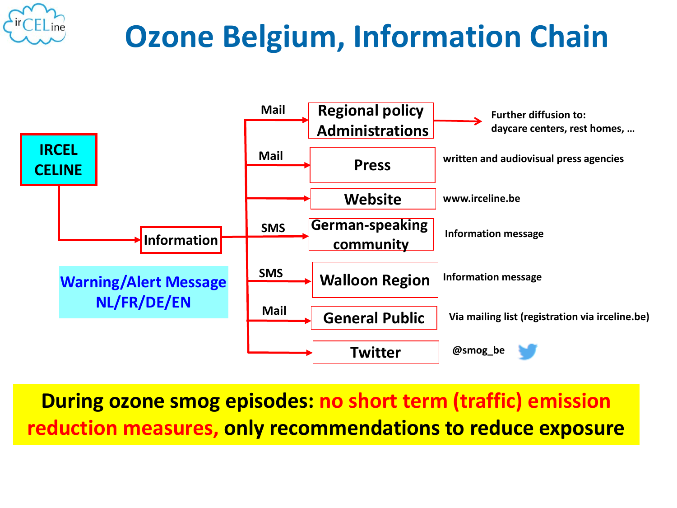

# **Ozone Belgium, Information Chain**



**During ozone smog episodes: no short term (traffic) emission reduction measures, only recommendations to reduce exposure**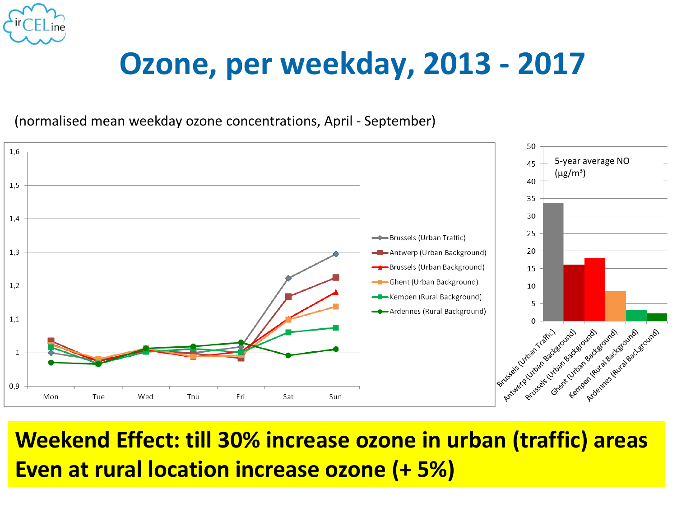

### **Ozone, per weekday, 2013 - 2017**

(normalised mean weekday ozone concentrations, April - September)



**Weekend Effect: till 30% increase ozone in urban (traffic) areas Even at rural location increase ozone (+ 5%)**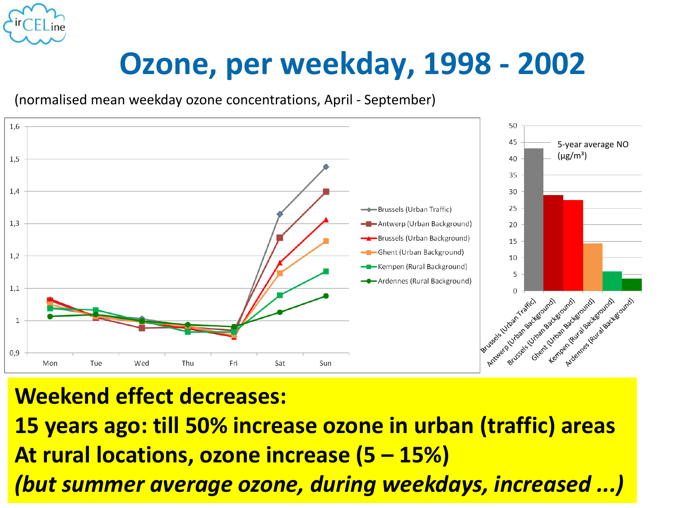

### **Ozone, per weekday, 1998 - 2002**

(normalised mean weekday ozone concentrations, April - September)



#### **Weekend effect decreases:**

**15 years ago: till 50% increase ozone in urban (traffic) areas At rural locations, ozone increase (5 – 15%)** *(but summer average ozone, during weekdays, increased ...)*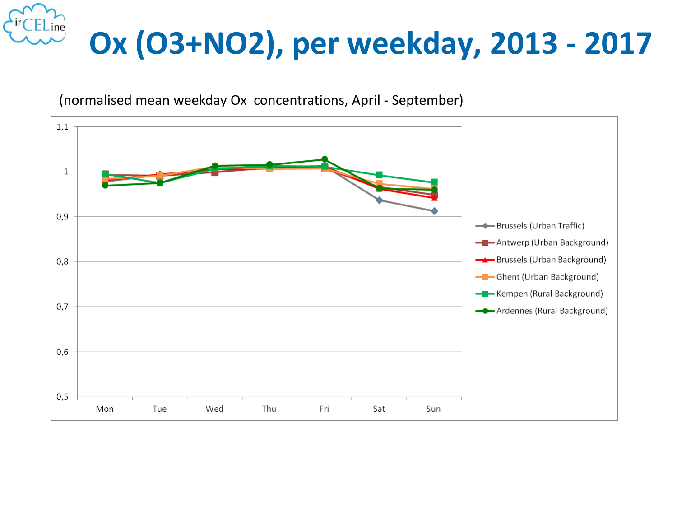



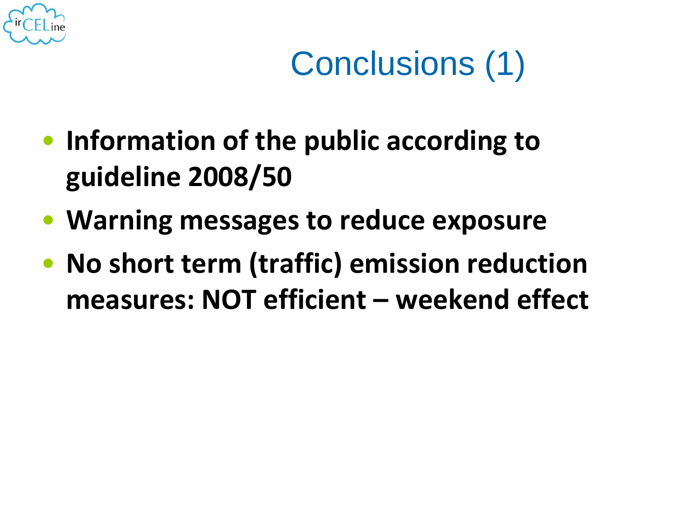

# Conclusions (1)

- **Information of the public according to guideline 2008/50**
- **Warning messages to reduce exposure**
- **No short term (traffic) emission reduction measures: NOT efficient – weekend effect**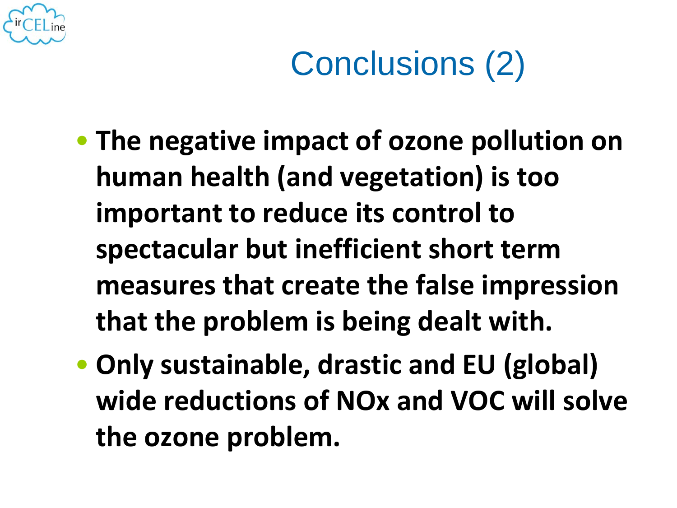

# Conclusions (2)

- **The negative impact of ozone pollution on human health (and vegetation) is too important to reduce its control to spectacular but inefficient short term measures that create the false impression that the problem is being dealt with.**
- **Only sustainable, drastic and EU (global) wide reductions of NOx and VOC will solve the ozone problem.**